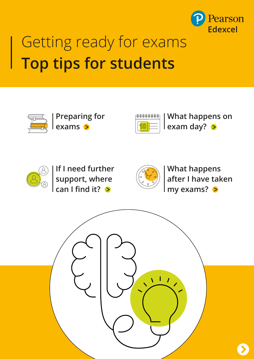

# Getting ready for exams **Top tips for students**



**Preparing for exams**



**What happens on exam day?**



**If I need further support, where can I find it?**



**What happens after I have taken my exams?**

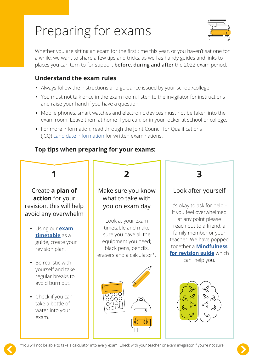## Preparing for exams



Whether you are sitting an exam for the first time this year, or you haven't sat one for a while, we want to share a few tips and tricks, as well as handy guides and links to places you can turn to for support **before, during and after** the 2022 exam period.

#### **Understand the exam rules**

- Always follow the instructions and guidance issued by your school/college.
- You must not talk once in the exam room, listen to the invigilator for instructions and raise your hand if you have a question.
- Mobile phones, smart watches and electronic devices must not be taken into the exam room. Leave them at home if you can, or in your locker at school or college.
- For more information, read through the Joint Council for Qualifications (JCQ) [candidate information](https://www.jcq.org.uk/wp-content/uploads/2021/08/IFC-Written_Examinations_2021_v5.pdf) for written examinations.

### **Top tips when preparing for your exams:**

## **1**

Create **a plan of action** for your revision, this will help avoid any overwhelm

- Using our **[exam](https://qualifications.pearson.com/en/support/support-topics/exams/exam-timetables.html)  [timetable](https://qualifications.pearson.com/en/support/support-topics/exams/exam-timetables.html)** as a guide, create your revision plan.
- Be realistic with yourself and take regular breaks to avoid burn out.
- Check if you can take a bottle of water into your exam.



#### Make sure you know what to take with you on exam day

Look at your exam timetable and make sure you have all the equipment you need; black pens, pencils, erasers and a calculator\*.



### **3**

### Look after yourself

It's okay to ask for help – if you feel overwhelmed at any point please reach out to a friend, a family member or your teacher. We have popped together a **[Mindfulness](https://www.pearson.com/content/dam/one-dot-com/one-dot-com/uk/documents/educator/schools/issues/wellbeing/mindfulness-revision-ipdf.pdf)  [for revision guide](https://www.pearson.com/content/dam/one-dot-com/one-dot-com/uk/documents/educator/schools/issues/wellbeing/mindfulness-revision-ipdf.pdf)** which can help you.



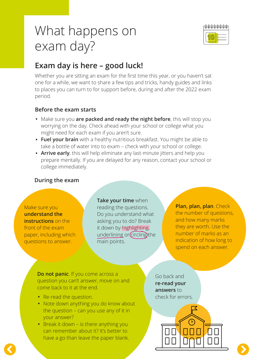## What happens on exam day?



### **Exam day is here – good luck!**

Whether you are sitting an exam for the first time this year, or you haven't sat one for a while, we want to share a few tips and tricks, handy guides and links to places you can turn to for support before, during and after the 2022 exam period.

#### **Before the exam starts**

- Make sure you **are packed and ready the night before**, this will stop you worrying on the day. Check ahead with your school or college what you might need for each exam if you aren't sure.
- **Fuel your brain** with a healthy nutritious breakfast. You might be able to take a bottle of water into to exam – check with your school or college.
- **Arrive early**, this will help eliminate any last-minute jitters and help you prepare mentally. If you are delayed for any reason, contact your school or college immediately.

#### **During the exam**

#### Make sure you **understand the instructions** on the

front of the exam paper, including which questions to answer.

#### **Take your time** when

reading the questions. Do you understand what asking you to do? Break it down by highlighting, underlining or *circling* the main points.

#### **Plan, plan, plan**. Check

the number of questions, and how many marks they are worth. Use the number of marks as an indication of how long to spend on each answer.

**Do not panic**. If you come across a question you can't answer, move on and come back to it at the end.

- Re-read the question.
- Note down anything you do know about the question – can you use any of it in your answer?
- Break it down is there anything you can remember about it? It's better to have a go than leave the paper blank.

Go back and **re-read your answers** to check for errors.

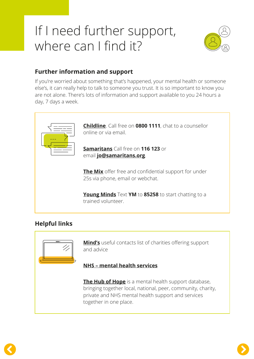## If I need further support, where can I find it?



#### **Further information and support**

If you're worried about something that's happened, your mental health or someone else's, it can really help to talk to someone you trust. It is so important to know you are not alone. There's lots of information and support available to you 24 hours a day, 7 days a week.



#### **Helpful links**



**[Mind's](https://www.mind.org.uk/information-support/for-children-and-young-people/useful-contacts/)** useful contacts list of charities offering support and advice

#### **[NHS – mental health services](https://www.nhs.uk/nhs-services/mental-health-services/)**

**[The Hub of Hope](https://hubofhope.co.uk/)** is a mental health support database, bringing together local, national, peer, community, charity, private and NHS mental health support and services together in one place.